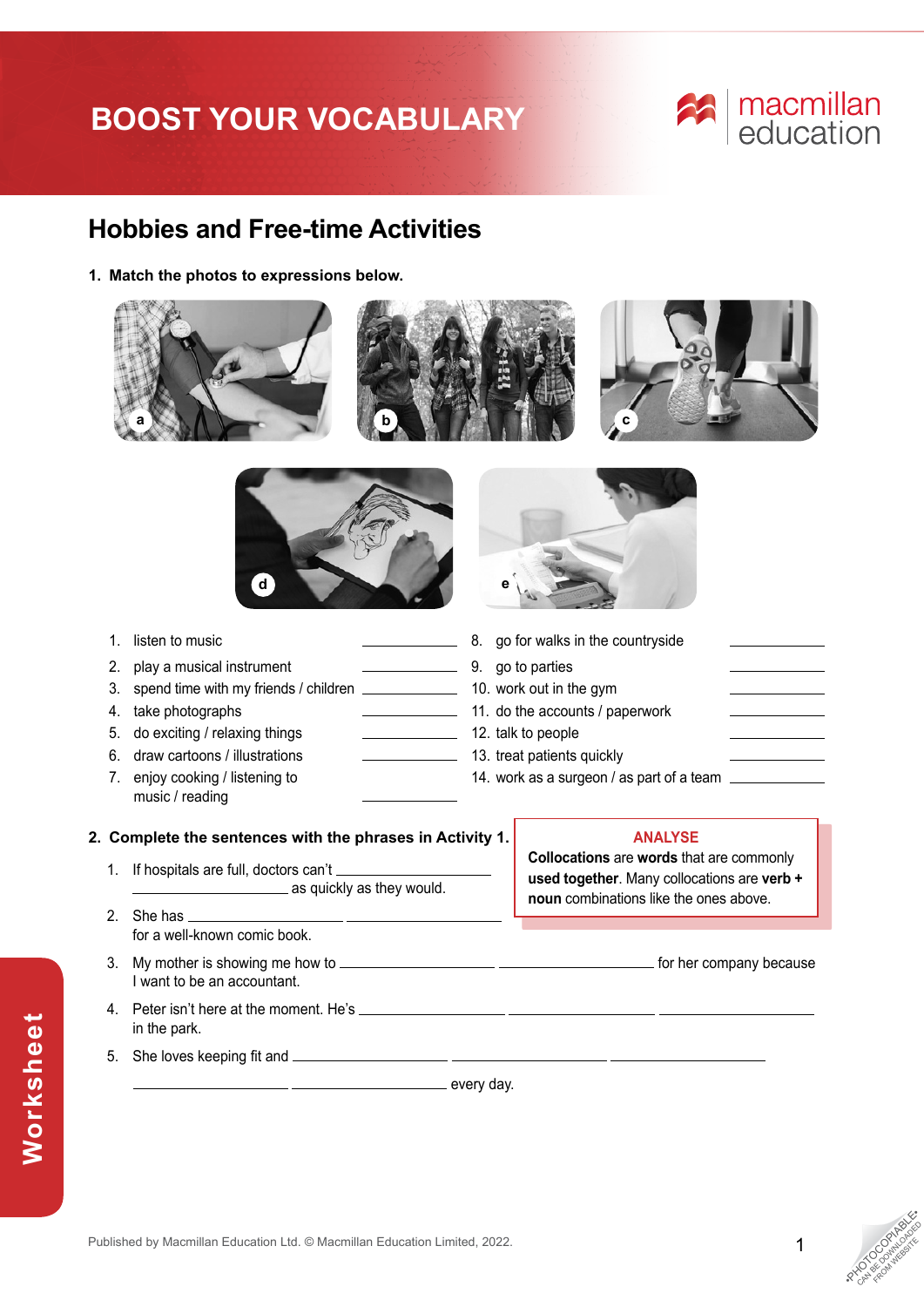# **BOOST YOUR VOCABULARY**

# macmillan<br>education

### **Hobbies and Free-time Activities**

**1. Match the photos to expressions below.**





- 
- 2. play a musical instrument 1.1 1.1 minutes and parties by a go to parties
- 3. spend time with my friends / children 10. work out in the gym
- 
- 5. do exciting / relaxing things 12. talk to people
- 6. draw cartoons / illustrations 13. treat patients quickly
- 7. enjoy cooking / listening to music / reading
- 1. listen to music **1. a 1. a 1. a 1. a 1. a 1. a 1. a 1. a 1. a 1. a 1. a 1. a 1. a 1. a 1. a 1. a 1. a 1. a 1. a 1. a 1. a 1. a 1.** 4. take photographs 11. do the accounts / paperwork 14. work as a surgeon / as part of a team  $\equiv$

### **2. Complete the sentences with the phrases in Activity 1.**

- 1. If hospitals are full, doctors can't **as quickly as they would.**
- 2. She has for a well-known comic book.
- 3. My mother is showing me how to for her company because I want to be an accountant.
- 4. Peter isn't here at the moment. He's in the park.

every day.

### **ANALYSE**

**Collocations** are **words** that are commonly **used together**. Many collocations are **verb + noun** combinations like the ones above.

- 
- 5. She loves keeping fit and

**Worksheet**

Worksheet